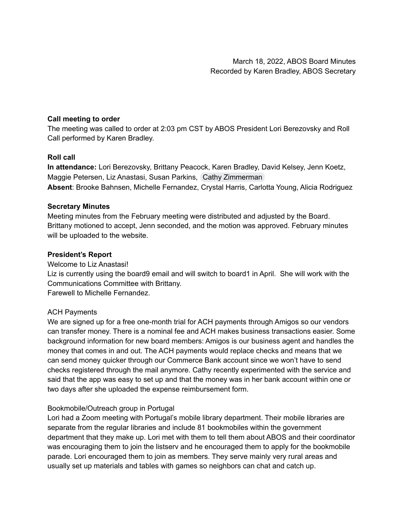# **Call meeting to order**

The meeting was called to order at 2:03 pm CST by ABOS President Lori Berezovsky and Roll Call performed by Karen Bradley.

# **Roll call**

**In attendance:** Lori Berezovsky, Brittany Peacock, Karen Bradley, David Kelsey, Jenn Koetz, Maggie Petersen, Liz Anastasi, Susan Parkins, Cathy [Zimmerman](mailto:czimmerman@scottcountylibrary.org) **Absent**: Brooke Bahnsen, Michelle Fernandez, Crystal Harris, Carlotta Young, Alicia Rodriguez

# **Secretary Minutes**

Meeting minutes from the February meeting were distributed and adjusted by the Board. Brittany motioned to accept, Jenn seconded, and the motion was approved. February minutes will be uploaded to the website.

# **President's Report**

Welcome to Liz Anastasi!

Liz is currently using the board9 email and will switch to board1 in April. She will work with the Communications Committee with Brittany.

Farewell to Michelle Fernandez.

### ACH Payments

We are signed up for a free one-month trial for ACH payments through Amigos so our vendors can transfer money. There is a nominal fee and ACH makes business transactions easier. Some background information for new board members: Amigos is our business agent and handles the money that comes in and out. The ACH payments would replace checks and means that we can send money quicker through our Commerce Bank account since we won't have to send checks registered through the mail anymore. Cathy recently experimented with the service and said that the app was easy to set up and that the money was in her bank account within one or two days after she uploaded the expense reimbursement form.

### Bookmobile/Outreach group in Portugal

Lori had a Zoom meeting with Portugal's mobile library department. Their mobile libraries are separate from the regular libraries and include 81 bookmobiles within the government department that they make up. Lori met with them to tell them about ABOS and their coordinator was encouraging them to join the listserv and he encouraged them to apply for the bookmobile parade. Lori encouraged them to join as members. They serve mainly very rural areas and usually set up materials and tables with games so neighbors can chat and catch up.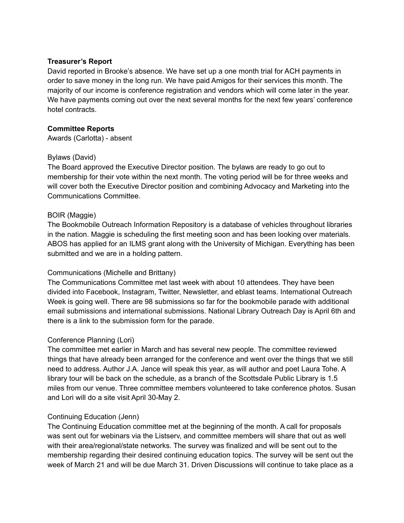### **Treasurer's Report**

David reported in Brooke's absence. We have set up a one month trial for ACH payments in order to save money in the long run. We have paid Amigos for their services this month. The majority of our income is conference registration and vendors which will come later in the year. We have payments coming out over the next several months for the next few years' conference hotel contracts.

### **Committee Reports**

Awards (Carlotta) - absent

### Bylaws (David)

The Board approved the Executive Director position. The bylaws are ready to go out to membership for their vote within the next month. The voting period will be for three weeks and will cover both the Executive Director position and combining Advocacy and Marketing into the Communications Committee.

# BOIR (Maggie)

The Bookmobile Outreach Information Repository is a database of vehicles throughout libraries in the nation. Maggie is scheduling the first meeting soon and has been looking over materials. ABOS has applied for an ILMS grant along with the University of Michigan. Everything has been submitted and we are in a holding pattern.

# Communications (Michelle and Brittany)

The Communications Committee met last week with about 10 attendees. They have been divided into Facebook, Instagram, Twitter, Newsletter, and eblast teams. International Outreach Week is going well. There are 98 submissions so far for the bookmobile parade with additional email submissions and international submissions. National Library Outreach Day is April 6th and there is a link to the submission form for the parade.

### Conference Planning (Lori)

The committee met earlier in March and has several new people. The committee reviewed things that have already been arranged for the conference and went over the things that we still need to address. Author J.A. Jance will speak this year, as will author and poet Laura Tohe. A library tour will be back on the schedule, as a branch of the Scottsdale Public Library is 1.5 miles from our venue. Three committee members volunteered to take conference photos. Susan and Lori will do a site visit April 30-May 2.

### Continuing Education (Jenn)

The Continuing Education committee met at the beginning of the month. A call for proposals was sent out for webinars via the Listserv, and committee members will share that out as well with their area/regional/state networks. The survey was finalized and will be sent out to the membership regarding their desired continuing education topics. The survey will be sent out the week of March 21 and will be due March 31. Driven Discussions will continue to take place as a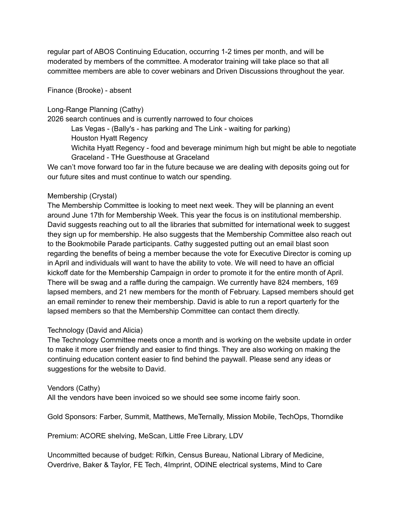regular part of ABOS Continuing Education, occurring 1-2 times per month, and will be moderated by members of the committee. A moderator training will take place so that all committee members are able to cover webinars and Driven Discussions throughout the year.

Finance (Brooke) - absent

Long-Range Planning (Cathy)

2026 search continues and is currently narrowed to four choices

Las Vegas - (Bally's - has parking and The Link - waiting for parking) Houston Hyatt Regency

Wichita Hyatt Regency - food and beverage minimum high but might be able to negotiate Graceland - THe Guesthouse at Graceland

We can't move forward too far in the future because we are dealing with deposits going out for our future sites and must continue to watch our spending.

### Membership (Crystal)

The Membership Committee is looking to meet next week. They will be planning an event around June 17th for Membership Week. This year the focus is on institutional membership. David suggests reaching out to all the libraries that submitted for international week to suggest they sign up for membership. He also suggests that the Membership Committee also reach out to the Bookmobile Parade participants. Cathy suggested putting out an email blast soon regarding the benefits of being a member because the vote for Executive Director is coming up in April and individuals will want to have the ability to vote. We will need to have an official kickoff date for the Membership Campaign in order to promote it for the entire month of April. There will be swag and a raffle during the campaign. We currently have 824 members, 169 lapsed members, and 21 new members for the month of February. Lapsed members should get an email reminder to renew their membership. David is able to run a report quarterly for the lapsed members so that the Membership Committee can contact them directly.

# Technology (David and Alicia)

The Technology Committee meets once a month and is working on the website update in order to make it more user friendly and easier to find things. They are also working on making the continuing education content easier to find behind the paywall. Please send any ideas or suggestions for the website to David.

### Vendors (Cathy)

All the vendors have been invoiced so we should see some income fairly soon.

Gold Sponsors: Farber, Summit, Matthews, MeTernally, Mission Mobile, TechOps, Thorndike

Premium: ACORE shelving, MeScan, Little Free Library, LDV

Uncommitted because of budget: Rifkin, Census Bureau, National Library of Medicine, Overdrive, Baker & Taylor, FE Tech, 4Imprint, ODINE electrical systems, Mind to Care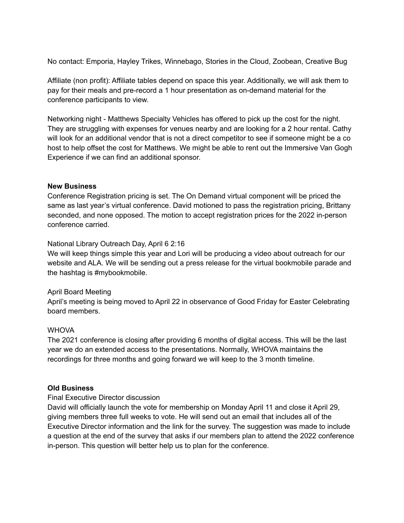No contact: Emporia, Hayley Trikes, Winnebago, Stories in the Cloud, Zoobean, Creative Bug

Affiliate (non profit): Affiliate tables depend on space this year. Additionally, we will ask them to pay for their meals and pre-record a 1 hour presentation as on-demand material for the conference participants to view.

Networking night - Matthews Specialty Vehicles has offered to pick up the cost for the night. They are struggling with expenses for venues nearby and are looking for a 2 hour rental. Cathy will look for an additional vendor that is not a direct competitor to see if someone might be a co host to help offset the cost for Matthews. We might be able to rent out the Immersive Van Gogh Experience if we can find an additional sponsor.

#### **New Business**

Conference Registration pricing is set. The On Demand virtual component will be priced the same as last year's virtual conference. David motioned to pass the registration pricing, Brittany seconded, and none opposed. The motion to accept registration prices for the 2022 in-person conference carried.

#### National Library Outreach Day, April 6 2:16

We will keep things simple this year and Lori will be producing a video about outreach for our website and ALA. We will be sending out a press release for the virtual bookmobile parade and the hashtag is #mybookmobile.

#### April Board Meeting

April's meeting is being moved to April 22 in observance of Good Friday for Easter Celebrating board members.

#### **WHOVA**

The 2021 conference is closing after providing 6 months of digital access. This will be the last year we do an extended access to the presentations. Normally, WHOVA maintains the recordings for three months and going forward we will keep to the 3 month timeline.

#### **Old Business**

#### Final Executive Director discussion

David will officially launch the vote for membership on Monday April 11 and close it April 29, giving members three full weeks to vote. He will send out an email that includes all of the Executive Director information and the link for the survey. The suggestion was made to include a question at the end of the survey that asks if our members plan to attend the 2022 conference in-person. This question will better help us to plan for the conference.